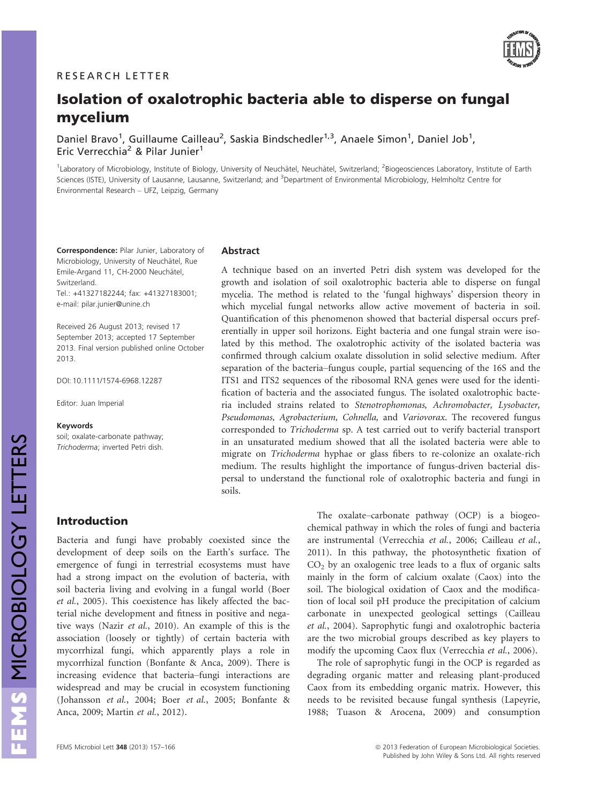## RESEARCH LETTER



# Isolation of oxalotrophic bacteria able to disperse on fungal mycelium

Daniel Bravo<sup>1</sup>, Guillaume Cailleau<sup>2</sup>, Saskia Bindschedler<sup>1,3</sup>, Anaele Simon<sup>1</sup>, Daniel Job<sup>1</sup>, Eric Verrecchia<sup>2</sup> & Pilar Junier<sup>1</sup>

<sup>1</sup>Laboratory of Microbiology, Institute of Biology, University of Neuchâtel, Neuchâtel, Switzerland; <sup>2</sup>Biogeosciences Laboratory, Institute of Earth Sciences (ISTE), University of Lausanne, Lausanne, Switzerland; and <sup>3</sup>Department of Environmental Microbiology, Helmholtz Centre for Environmental Research – UFZ, Leipzig, Germany

Correspondence: Pilar Junier, Laboratory of Microbiology, University of Neuchâtel, Rue Emile-Argand 11, CH-2000 Neuchâtel, Switzerland.

Tel.: +41327182244; fax: +41327183001; e-mail: pilar.junier@unine.ch

Received 26 August 2013; revised 17 September 2013; accepted 17 September 2013. Final version published online October 2013.

DOI: 10.1111/1574-6968.12287

Editor: Juan Imperial

#### Keywords

soil; oxalate-carbonate pathway; Trichoderma; inverted Petri dish.

#### Abstract

A technique based on an inverted Petri dish system was developed for the growth and isolation of soil oxalotrophic bacteria able to disperse on fungal mycelia. The method is related to the 'fungal highways' dispersion theory in which mycelial fungal networks allow active movement of bacteria in soil. Quantification of this phenomenon showed that bacterial dispersal occurs preferentially in upper soil horizons. Eight bacteria and one fungal strain were isolated by this method. The oxalotrophic activity of the isolated bacteria was confirmed through calcium oxalate dissolution in solid selective medium. After separation of the bacteria–fungus couple, partial sequencing of the 16S and the ITS1 and ITS2 sequences of the ribosomal RNA genes were used for the identification of bacteria and the associated fungus. The isolated oxalotrophic bacteria included strains related to Stenotrophomonas, Achromobacter, Lysobacter, Pseudomonas, Agrobacterium, Cohnella, and Variovorax. The recovered fungus corresponded to Trichoderma sp. A test carried out to verify bacterial transport in an unsaturated medium showed that all the isolated bacteria were able to migrate on Trichoderma hyphae or glass fibers to re-colonize an oxalate-rich medium. The results highlight the importance of fungus-driven bacterial dispersal to understand the functional role of oxalotrophic bacteria and fungi in soils.

## Introduction

Bacteria and fungi have probably coexisted since the development of deep soils on the Earth's surface. The emergence of fungi in terrestrial ecosystems must have had a strong impact on the evolution of bacteria, with soil bacteria living and evolving in a fungal world (Boer et al., 2005). This coexistence has likely affected the bacterial niche development and fitness in positive and negative ways (Nazir et al., 2010). An example of this is the association (loosely or tightly) of certain bacteria with mycorrhizal fungi, which apparently plays a role in mycorrhizal function (Bonfante & Anca, 2009). There is increasing evidence that bacteria–fungi interactions are widespread and may be crucial in ecosystem functioning (Johansson et al., 2004; Boer et al., 2005; Bonfante & Anca, 2009; Martin et al., 2012).

The oxalate–carbonate pathway (OCP) is a biogeochemical pathway in which the roles of fungi and bacteria are instrumental (Verrecchia et al., 2006; Cailleau et al., 2011). In this pathway, the photosynthetic fixation of  $CO<sub>2</sub>$  by an oxalogenic tree leads to a flux of organic salts mainly in the form of calcium oxalate (Caox) into the soil. The biological oxidation of Caox and the modification of local soil pH produce the precipitation of calcium carbonate in unexpected geological settings (Cailleau et al., 2004). Saprophytic fungi and oxalotrophic bacteria are the two microbial groups described as key players to modify the upcoming Caox flux (Verrecchia et al., 2006).

The role of saprophytic fungi in the OCP is regarded as degrading organic matter and releasing plant-produced Caox from its embedding organic matrix. However, this needs to be revisited because fungal synthesis (Lapeyrie, 1988; Tuason & Arocena, 2009) and consumption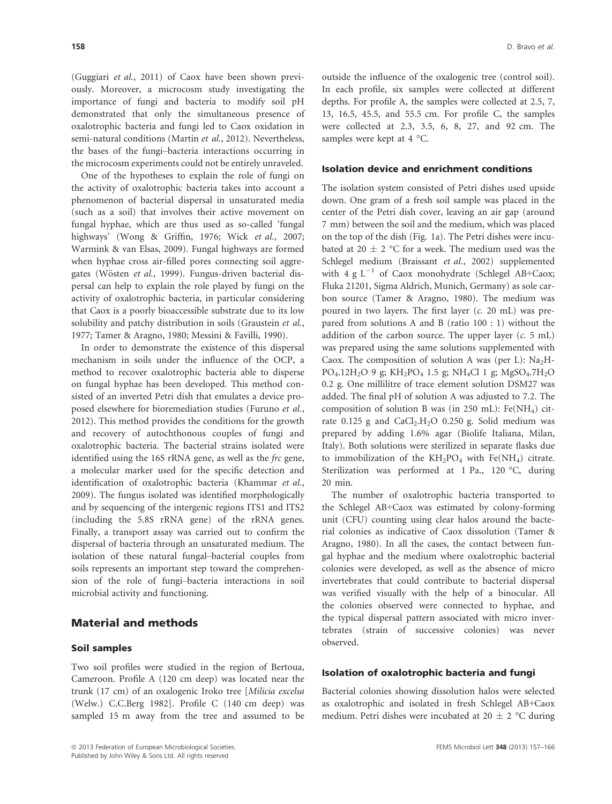(Guggiari et al., 2011) of Caox have been shown previously. Moreover, a microcosm study investigating the importance of fungi and bacteria to modify soil pH demonstrated that only the simultaneous presence of oxalotrophic bacteria and fungi led to Caox oxidation in semi-natural conditions (Martin et al., 2012). Nevertheless, the bases of the fungi–bacteria interactions occurring in the microcosm experiments could not be entirely unraveled.

One of the hypotheses to explain the role of fungi on the activity of oxalotrophic bacteria takes into account a phenomenon of bacterial dispersal in unsaturated media (such as a soil) that involves their active movement on fungal hyphae, which are thus used as so-called 'fungal highways' (Wong & Griffin, 1976; Wick et al., 2007; Warmink & van Elsas, 2009). Fungal highways are formed when hyphae cross air-filled pores connecting soil aggregates (Wösten et al., 1999). Fungus-driven bacterial dispersal can help to explain the role played by fungi on the activity of oxalotrophic bacteria, in particular considering that Caox is a poorly bioaccessible substrate due to its low solubility and patchy distribution in soils (Graustein et al., 1977; Tamer & Aragno, 1980; Messini & Favilli, 1990).

In order to demonstrate the existence of this dispersal mechanism in soils under the influence of the OCP, a method to recover oxalotrophic bacteria able to disperse on fungal hyphae has been developed. This method consisted of an inverted Petri dish that emulates a device proposed elsewhere for bioremediation studies (Furuno et al., 2012). This method provides the conditions for the growth and recovery of autochthonous couples of fungi and oxalotrophic bacteria. The bacterial strains isolated were identified using the 16S rRNA gene, as well as the frc gene, a molecular marker used for the specific detection and identification of oxalotrophic bacteria (Khammar et al., 2009). The fungus isolated was identified morphologically and by sequencing of the intergenic regions ITS1 and ITS2 (including the 5.8S rRNA gene) of the rRNA genes. Finally, a transport assay was carried out to confirm the dispersal of bacteria through an unsaturated medium. The isolation of these natural fungal–bacterial couples from soils represents an important step toward the comprehension of the role of fungi–bacteria interactions in soil microbial activity and functioning.

## Material and methods

### Soil samples

Two soil profiles were studied in the region of Bertoua, Cameroon. Profile A (120 cm deep) was located near the trunk (17 cm) of an oxalogenic Iroko tree [Milicia excelsa (Welw.) C.C.Berg 1982]. Profile C (140 cm deep) was sampled 15 m away from the tree and assumed to be

outside the influence of the oxalogenic tree (control soil). In each profile, six samples were collected at different depths. For profile A, the samples were collected at 2.5, 7, 13, 16.5, 45.5, and 55.5 cm. For profile C, the samples were collected at 2.3, 3.5, 6, 8, 27, and 92 cm. The samples were kept at 4 °C.

#### Isolation device and enrichment conditions

The isolation system consisted of Petri dishes used upside down. One gram of a fresh soil sample was placed in the center of the Petri dish cover, leaving an air gap (around 7 mm) between the soil and the medium, which was placed on the top of the dish (Fig. 1a). The Petri dishes were incubated at 20  $\pm$  2 °C for a week. The medium used was the Schlegel medium (Braissant et al., 2002) supplemented with 4 g  $L^{-1}$  of Caox monohydrate (Schlegel AB+Caox; Fluka 21201, Sigma Aldrich, Munich, Germany) as sole carbon source (Tamer & Aragno, 1980). The medium was poured in two layers. The first layer (c. 20 mL) was prepared from solutions A and B (ratio 100 : 1) without the addition of the carbon source. The upper layer  $(c. 5 mL)$ was prepared using the same solutions supplemented with Caox. The composition of solution A was (per L):  $Na<sub>2</sub>H PO_4.12H_2O$  9 g;  $KH_2PO_4$  1.5 g;  $NH_4Cl$  1 g;  $MgSO_4.7H_2O$ 0.2 g. One millilitre of trace element solution DSM27 was added. The final pH of solution A was adjusted to 7.2. The composition of solution B was (in 250 mL):  $Fe(NH<sub>4</sub>)$  citrate  $0.125$  g and  $CaCl<sub>2</sub>H<sub>2</sub>O$  0.250 g. Solid medium was prepared by adding 1.6% agar (Biolife Italiana, Milan, Italy). Both solutions were sterilized in separate flasks due to immobilization of the  $KH_2PO_4$  with  $Fe(NH_4)$  citrate. Sterilization was performed at 1 Pa., 120 °C, during 20 min.

The number of oxalotrophic bacteria transported to the Schlegel AB+Caox was estimated by colony-forming unit (CFU) counting using clear halos around the bacterial colonies as indicative of Caox dissolution (Tamer & Aragno, 1980). In all the cases, the contact between fungal hyphae and the medium where oxalotrophic bacterial colonies were developed, as well as the absence of micro invertebrates that could contribute to bacterial dispersal was verified visually with the help of a binocular. All the colonies observed were connected to hyphae, and the typical dispersal pattern associated with micro invertebrates (strain of successive colonies) was never observed.

#### Isolation of oxalotrophic bacteria and fungi

Bacterial colonies showing dissolution halos were selected as oxalotrophic and isolated in fresh Schlegel AB+Caox medium. Petri dishes were incubated at 20  $\pm$  2 °C during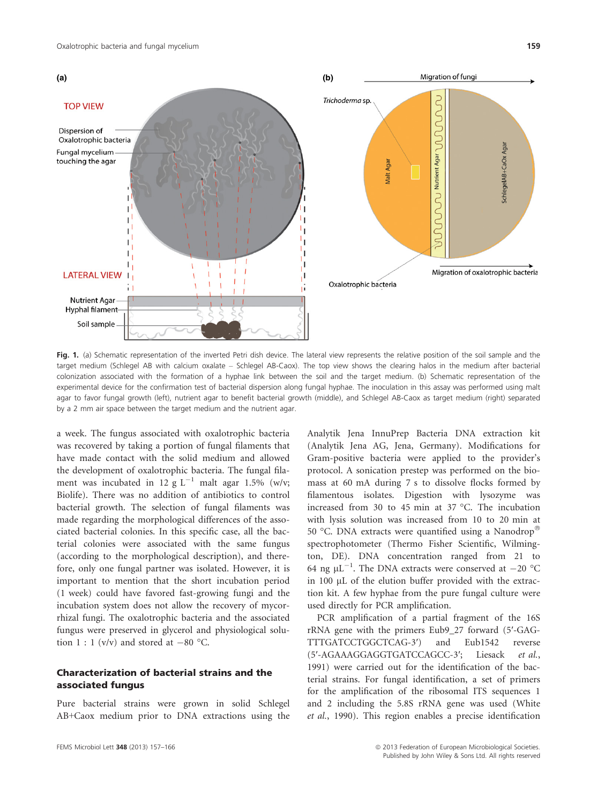

Fig. 1. (a) Schematic representation of the inverted Petri dish device. The lateral view represents the relative position of the soil sample and the target medium (Schlegel AB with calcium oxalate – Schlegel AB-Caox). The top view shows the clearing halos in the medium after bacterial colonization associated with the formation of a hyphae link between the soil and the target medium. (b) Schematic representation of the experimental device for the confirmation test of bacterial dispersion along fungal hyphae. The inoculation in this assay was performed using malt agar to favor fungal growth (left), nutrient agar to benefit bacterial growth (middle), and Schlegel AB-Caox as target medium (right) separated by a 2 mm air space between the target medium and the nutrient agar.

a week. The fungus associated with oxalotrophic bacteria was recovered by taking a portion of fungal filaments that have made contact with the solid medium and allowed the development of oxalotrophic bacteria. The fungal filament was incubated in 12 g  $L^{-1}$  malt agar 1.5% (w/v; Biolife). There was no addition of antibiotics to control bacterial growth. The selection of fungal filaments was made regarding the morphological differences of the associated bacterial colonies. In this specific case, all the bacterial colonies were associated with the same fungus (according to the morphological description), and therefore, only one fungal partner was isolated. However, it is important to mention that the short incubation period (1 week) could have favored fast-growing fungi and the incubation system does not allow the recovery of mycorrhizal fungi. The oxalotrophic bacteria and the associated fungus were preserved in glycerol and physiological solution 1 : 1 (v/v) and stored at  $-80$  °C.

## Characterization of bacterial strains and the associated fungus

Pure bacterial strains were grown in solid Schlegel AB+Caox medium prior to DNA extractions using the

Analytik Jena InnuPrep Bacteria DNA extraction kit (Analytik Jena AG, Jena, Germany). Modifications for Gram-positive bacteria were applied to the provider's protocol. A sonication prestep was performed on the biomass at 60 mA during 7 s to dissolve flocks formed by filamentous isolates. Digestion with lysozyme was increased from 30 to 45 min at 37 °C. The incubation with lysis solution was increased from 10 to 20 min at 50 °C. DNA extracts were quantified using a Nanodrop® spectrophotometer (Thermo Fisher Scientific, Wilmington, DE). DNA concentration ranged from 21 to 64 ng  $\mu L^{-1}$ . The DNA extracts were conserved at  $-20$  °C in 100  $\mu$ L of the elution buffer provided with the extraction kit. A few hyphae from the pure fungal culture were used directly for PCR amplification.

PCR amplification of a partial fragment of the 16S rRNA gene with the primers Eub9\_27 forward (5′-GAG-TTTGATCCTGGCTCAG-3′) and Eub1542 reverse (5′-AGAAAGGAGGTGATCCAGCC-3′; Liesack et al., 1991) were carried out for the identification of the bacterial strains. For fungal identification, a set of primers for the amplification of the ribosomal ITS sequences 1 and 2 including the 5.8S rRNA gene was used (White et al., 1990). This region enables a precise identification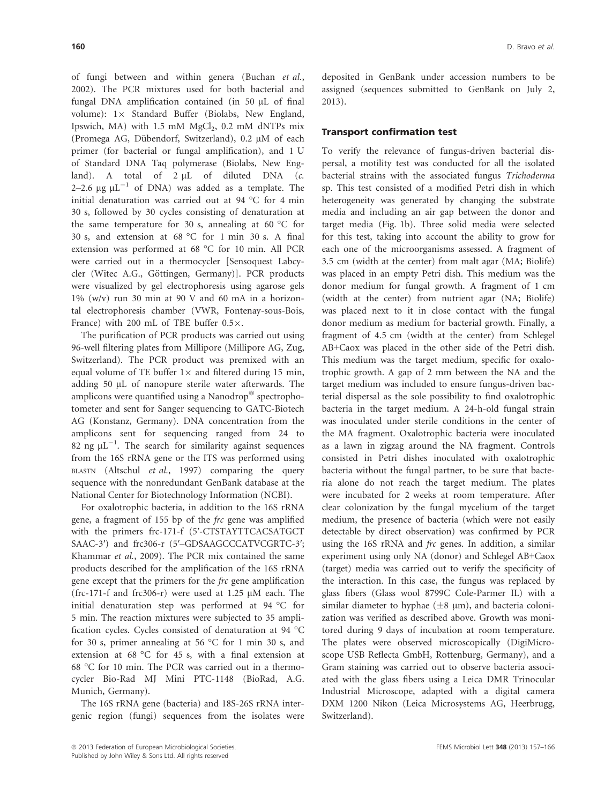of fungi between and within genera (Buchan et al., 2002). The PCR mixtures used for both bacterial and fungal DNA amplification contained (in 50 µL of final volume): 1× Standard Buffer (Biolabs, New England, Ipswich, MA) with  $1.5$  mM  $MgCl<sub>2</sub>$ , 0.2 mM dNTPs mix (Promega AG, Dübendorf, Switzerland), 0.2 µM of each primer (for bacterial or fungal amplification), and 1 U of Standard DNA Taq polymerase (Biolabs, New England). A total of  $2 \mu L$  of diluted DNA (c. 2–2.6 µg  $\mu L^{-1}$  of DNA) was added as a template. The initial denaturation was carried out at 94 °C for 4 min 30 s, followed by 30 cycles consisting of denaturation at the same temperature for 30 s, annealing at 60  $\degree$ C for 30 s, and extension at 68 °C for 1 min 30 s. A final extension was performed at 68 °C for 10 min. All PCR were carried out in a thermocycler [Sensoquest Labcycler (Witec A.G., Göttingen, Germany)]. PCR products were visualized by gel electrophoresis using agarose gels 1% (w/v) run 30 min at 90 V and 60 mA in a horizontal electrophoresis chamber (VWR, Fontenay-sous-Bois, France) with 200 mL of TBE buffer  $0.5 \times$ .

The purification of PCR products was carried out using 96-well filtering plates from Millipore (Millipore AG, Zug, Switzerland). The PCR product was premixed with an equal volume of TE buffer  $1\times$  and filtered during 15 min, adding 50 µL of nanopure sterile water afterwards. The amplicons were quantified using a Nanodrop $^\circledR$  spectrophotometer and sent for Sanger sequencing to GATC-Biotech AG (Konstanz, Germany). DNA concentration from the amplicons sent for sequencing ranged from 24 to 82 ng  $\mu L^{-1}$ . The search for similarity against sequences from the 16S rRNA gene or the ITS was performed using BLASTN (Altschul et al., 1997) comparing the query sequence with the nonredundant GenBank database at the National Center for Biotechnology Information (NCBI).

For oxalotrophic bacteria, in addition to the 16S rRNA gene, a fragment of 155 bp of the frc gene was amplified with the primers frc-171-f (5′-CTSTAYTTCACSATGCT SAAC-3') and frc306-r (5'-GDSAAGCCCATVCGRTC-3'; Khammar et al., 2009). The PCR mix contained the same products described for the amplification of the 16S rRNA gene except that the primers for the frc gene amplification (frc-171-f and frc306-r) were used at 1.25  $\mu$ M each. The initial denaturation step was performed at 94 °C for 5 min. The reaction mixtures were subjected to 35 amplification cycles. Cycles consisted of denaturation at 94 °C for 30 s, primer annealing at 56 °C for 1 min 30 s, and extension at 68 °C for 45 s, with a final extension at 68 °C for 10 min. The PCR was carried out in a thermocycler Bio-Rad MJ Mini PTC-1148 (BioRad, A.G. Munich, Germany).

The 16S rRNA gene (bacteria) and 18S-26S rRNA intergenic region (fungi) sequences from the isolates were deposited in GenBank under accession numbers to be assigned (sequences submitted to GenBank on July 2, 2013).

#### Transport confirmation test

To verify the relevance of fungus-driven bacterial dispersal, a motility test was conducted for all the isolated bacterial strains with the associated fungus Trichoderma sp. This test consisted of a modified Petri dish in which heterogeneity was generated by changing the substrate media and including an air gap between the donor and target media (Fig. 1b). Three solid media were selected for this test, taking into account the ability to grow for each one of the microorganisms assessed. A fragment of 3.5 cm (width at the center) from malt agar (MA; Biolife) was placed in an empty Petri dish. This medium was the donor medium for fungal growth. A fragment of 1 cm (width at the center) from nutrient agar (NA; Biolife) was placed next to it in close contact with the fungal donor medium as medium for bacterial growth. Finally, a fragment of 4.5 cm (width at the center) from Schlegel AB+Caox was placed in the other side of the Petri dish. This medium was the target medium, specific for oxalotrophic growth. A gap of 2 mm between the NA and the target medium was included to ensure fungus-driven bacterial dispersal as the sole possibility to find oxalotrophic bacteria in the target medium. A 24-h-old fungal strain was inoculated under sterile conditions in the center of the MA fragment. Oxalotrophic bacteria were inoculated as a lawn in zigzag around the NA fragment. Controls consisted in Petri dishes inoculated with oxalotrophic bacteria without the fungal partner, to be sure that bacteria alone do not reach the target medium. The plates were incubated for 2 weeks at room temperature. After clear colonization by the fungal mycelium of the target medium, the presence of bacteria (which were not easily detectable by direct observation) was confirmed by PCR using the 16S rRNA and frc genes. In addition, a similar experiment using only NA (donor) and Schlegel AB+Caox (target) media was carried out to verify the specificity of the interaction. In this case, the fungus was replaced by glass fibers (Glass wool 8799C Cole-Parmer IL) with a similar diameter to hyphae ( $\pm 8$  µm), and bacteria colonization was verified as described above. Growth was monitored during 9 days of incubation at room temperature. The plates were observed microscopically (DigiMicroscope USB Reflecta GmbH, Rottenburg, Germany), and a Gram staining was carried out to observe bacteria associated with the glass fibers using a Leica DMR Trinocular Industrial Microscope, adapted with a digital camera DXM 1200 Nikon (Leica Microsystems AG, Heerbrugg, Switzerland).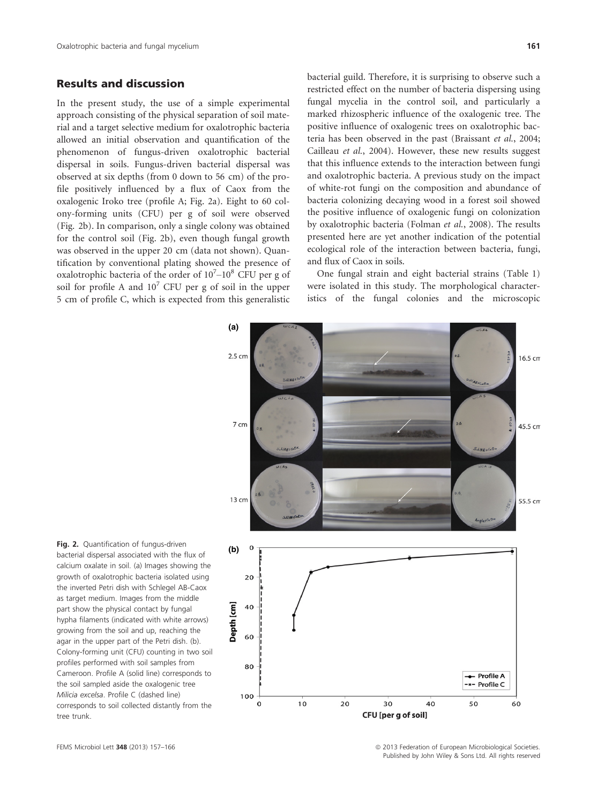## Results and discussion

In the present study, the use of a simple experimental approach consisting of the physical separation of soil material and a target selective medium for oxalotrophic bacteria allowed an initial observation and quantification of the phenomenon of fungus-driven oxalotrophic bacterial dispersal in soils. Fungus-driven bacterial dispersal was observed at six depths (from 0 down to 56 cm) of the profile positively influenced by a flux of Caox from the oxalogenic Iroko tree (profile A; Fig. 2a). Eight to 60 colony-forming units (CFU) per g of soil were observed (Fig. 2b). In comparison, only a single colony was obtained for the control soil (Fig. 2b), even though fungal growth was observed in the upper 20 cm (data not shown). Quantification by conventional plating showed the presence of oxalotrophic bacteria of the order of  $10^{7}-10^{8}$  CFU per g of soil for profile A and  $10^7$  CFU per g of soil in the upper 5 cm of profile C, which is expected from this generalistic

bacterial guild. Therefore, it is surprising to observe such a restricted effect on the number of bacteria dispersing using fungal mycelia in the control soil, and particularly a marked rhizospheric influence of the oxalogenic tree. The positive influence of oxalogenic trees on oxalotrophic bacteria has been observed in the past (Braissant et al., 2004; Cailleau et al., 2004). However, these new results suggest that this influence extends to the interaction between fungi and oxalotrophic bacteria. A previous study on the impact of white-rot fungi on the composition and abundance of bacteria colonizing decaying wood in a forest soil showed the positive influence of oxalogenic fungi on colonization by oxalotrophic bacteria (Folman et al., 2008). The results presented here are yet another indication of the potential ecological role of the interaction between bacteria, fungi, and flux of Caox in soils.

One fungal strain and eight bacterial strains (Table 1) were isolated in this study. The morphological characteristics of the fungal colonies and the microscopic



**Fig. 2.** Quantification of fungus-driven (b) bacterial dispersal associated with the flux of calcium oxalate in soil. (a) Images showing the growth of oxalotrophic bacteria isolated using the inverted Petri dish with Schlegel AB-Caox as target medium. Images from the middle part show the physical contact by fungal hypha filaments (indicated with white arrows) growing from the soil and up, reaching the agar in the upper part of the Petri dish. (b). Colony-forming unit (CFU) counting in two soil profiles performed with soil samples from Cameroon. Profile A (solid line) corresponds to the soil sampled aside the oxalogenic tree Milicia excelsa. Profile C (dashed line) corresponds to soil collected distantly from the tree trunk.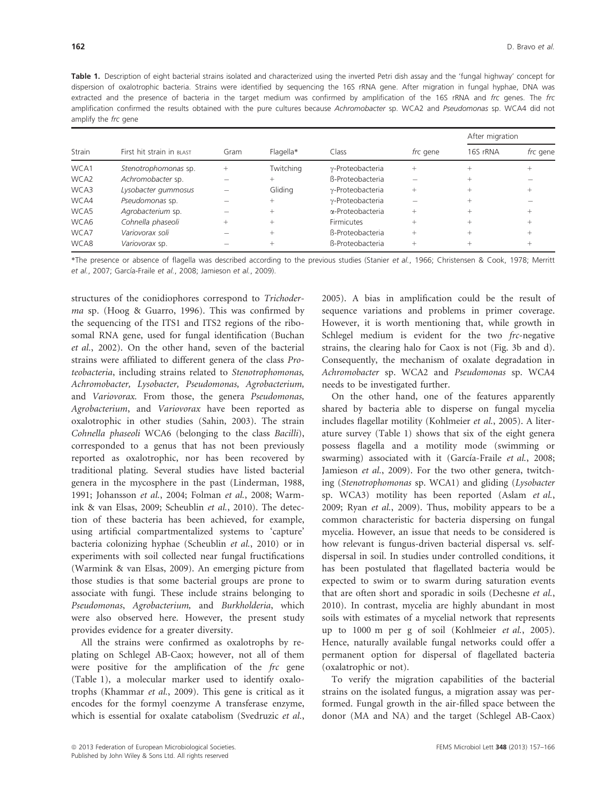Table 1. Description of eight bacterial strains isolated and characterized using the inverted Petri dish assay and the 'fungal highway' concept for dispersion of oxalotrophic bacteria. Strains were identified by sequencing the 16S rRNA gene. After migration in fungal hyphae, DNA was extracted and the presence of bacteria in the target medium was confirmed by amplification of the 16S rRNA and frc genes. The frc amplification confirmed the results obtained with the pure cultures because Achromobacter sp. WCA2 and Pseudomonas sp. WCA4 did not amplify the frc gene

| Strain | First hit strain in BLAST | Gram   | Flagella* | Class                   | <i>frc</i> gene | After migration |                 |
|--------|---------------------------|--------|-----------|-------------------------|-----------------|-----------------|-----------------|
|        |                           |        |           |                         |                 | 16S rRNA        | <i>frc</i> gene |
| WCA1   | Stenotrophomonas sp.      | $+$    | Twitching | γ-Proteobacteria        | $^{+}$          | $^{+}$          |                 |
| WCA2   | Achromobacter sp.         |        |           | <b>B-Proteobacteria</b> |                 | $\overline{+}$  |                 |
| WCA3   | Lysobacter gummosus       |        | Gliding   | γ-Proteobacteria        |                 | $^{+}$          |                 |
| WCA4   | Pseudomonas sp.           |        |           | γ-Proteobacteria        |                 | $^{+}$          |                 |
| WCA5   | Agrobacterium sp.         |        | $^{+}$    | α-Proteobacteria        | $^+$            | $^{+}$          |                 |
| WCA6   | Cohnella phaseoli         | $^{+}$ |           | <b>Firmicutes</b>       | $^{+}$          | $^{+}$          |                 |
| WCA7   | Variovorax soli           |        | $^{+}$    | B-Proteobacteria        |                 | $^{+}$          |                 |
| WCA8   | Variovorax sp.            |        |           | B-Proteobacteria        |                 | $\overline{+}$  | $^{+}$          |

\*The presence or absence of flagella was described according to the previous studies (Stanier et al., 1966; Christensen & Cook, 1978; Merritt et al., 2007; García-Fraile et al., 2008; Jamieson et al., 2009).

structures of the conidiophores correspond to Trichoderma sp. (Hoog & Guarro, 1996). This was confirmed by the sequencing of the ITS1 and ITS2 regions of the ribosomal RNA gene, used for fungal identification (Buchan et al., 2002). On the other hand, seven of the bacterial strains were affiliated to different genera of the class Proteobacteria, including strains related to Stenotrophomonas, Achromobacter, Lysobacter, Pseudomonas, Agrobacterium, and Variovorax. From those, the genera Pseudomonas, Agrobacterium, and Variovorax have been reported as oxalotrophic in other studies (Sahin, 2003). The strain Cohnella phaseoli WCA6 (belonging to the class Bacilli), corresponded to a genus that has not been previously reported as oxalotrophic, nor has been recovered by traditional plating. Several studies have listed bacterial genera in the mycosphere in the past (Linderman, 1988, 1991; Johansson et al., 2004; Folman et al., 2008; Warmink & van Elsas, 2009; Scheublin et al., 2010). The detection of these bacteria has been achieved, for example, using artificial compartmentalized systems to 'capture' bacteria colonizing hyphae (Scheublin et al., 2010) or in experiments with soil collected near fungal fructifications (Warmink & van Elsas, 2009). An emerging picture from those studies is that some bacterial groups are prone to associate with fungi. These include strains belonging to Pseudomonas, Agrobacterium, and Burkholderia, which were also observed here. However, the present study provides evidence for a greater diversity.

All the strains were confirmed as oxalotrophs by replating on Schlegel AB-Caox; however, not all of them were positive for the amplification of the *frc* gene (Table 1), a molecular marker used to identify oxalotrophs (Khammar et al., 2009). This gene is critical as it encodes for the formyl coenzyme A transferase enzyme, which is essential for oxalate catabolism (Svedruzic et al.,

2005). A bias in amplification could be the result of sequence variations and problems in primer coverage. However, it is worth mentioning that, while growth in Schlegel medium is evident for the two frc-negative strains, the clearing halo for Caox is not (Fig. 3b and d). Consequently, the mechanism of oxalate degradation in Achromobacter sp. WCA2 and Pseudomonas sp. WCA4 needs to be investigated further.

On the other hand, one of the features apparently shared by bacteria able to disperse on fungal mycelia includes flagellar motility (Kohlmeier et al., 2005). A literature survey (Table 1) shows that six of the eight genera possess flagella and a motility mode (swimming or swarming) associated with it (García-Fraile et al., 2008; Jamieson *et al.*, 2009). For the two other genera, twitching (Stenotrophomonas sp. WCA1) and gliding (Lysobacter sp. WCA3) motility has been reported (Aslam et al., 2009; Ryan et al., 2009). Thus, mobility appears to be a common characteristic for bacteria dispersing on fungal mycelia. However, an issue that needs to be considered is how relevant is fungus-driven bacterial dispersal vs. selfdispersal in soil. In studies under controlled conditions, it has been postulated that flagellated bacteria would be expected to swim or to swarm during saturation events that are often short and sporadic in soils (Dechesne et al., 2010). In contrast, mycelia are highly abundant in most soils with estimates of a mycelial network that represents up to 1000 m per g of soil (Kohlmeier et al., 2005). Hence, naturally available fungal networks could offer a permanent option for dispersal of flagellated bacteria (oxalatrophic or not).

To verify the migration capabilities of the bacterial strains on the isolated fungus, a migration assay was performed. Fungal growth in the air-filled space between the donor (MA and NA) and the target (Schlegel AB-Caox)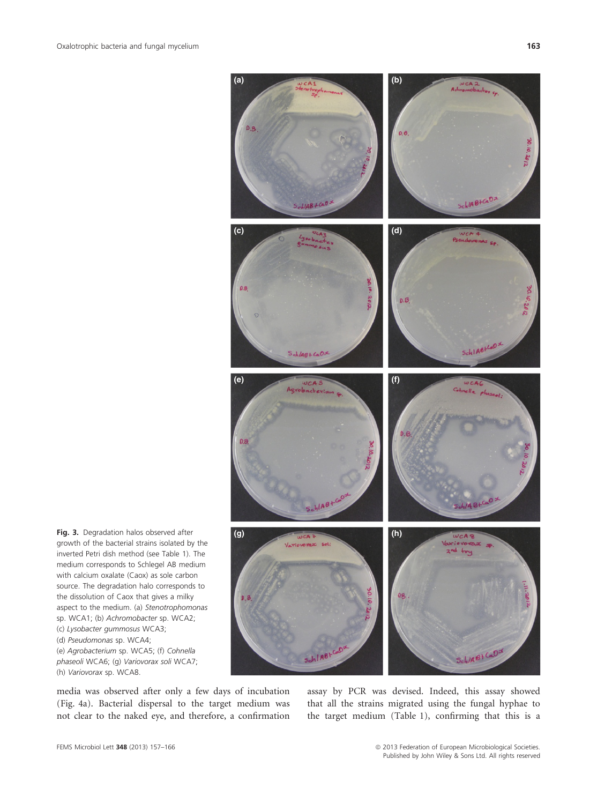

growth of the bacterial strains isolated by the inverted Petri dish method (see Table 1). The medium corresponds to Schlegel AB medium with calcium oxalate (Caox) as sole carbon source. The degradation halo corresponds to the dissolution of Caox that gives a milky aspect to the medium. (a) Stenotrophomonas sp. WCA1; (b) Achromobacter sp. WCA2; (c) Lysobacter gummosus WCA3; (d) Pseudomonas sp. WCA4; (e) Agrobacterium sp. WCA5; (f) Cohnella phaseoli WCA6; (g) Variovorax soli WCA7; (h) Variovorax sp. WCA8.

media was observed after only a few days of incubation (Fig. 4a). Bacterial dispersal to the target medium was not clear to the naked eye, and therefore, a confirmation

assay by PCR was devised. Indeed, this assay showed that all the strains migrated using the fungal hyphae to the target medium (Table 1), confirming that this is a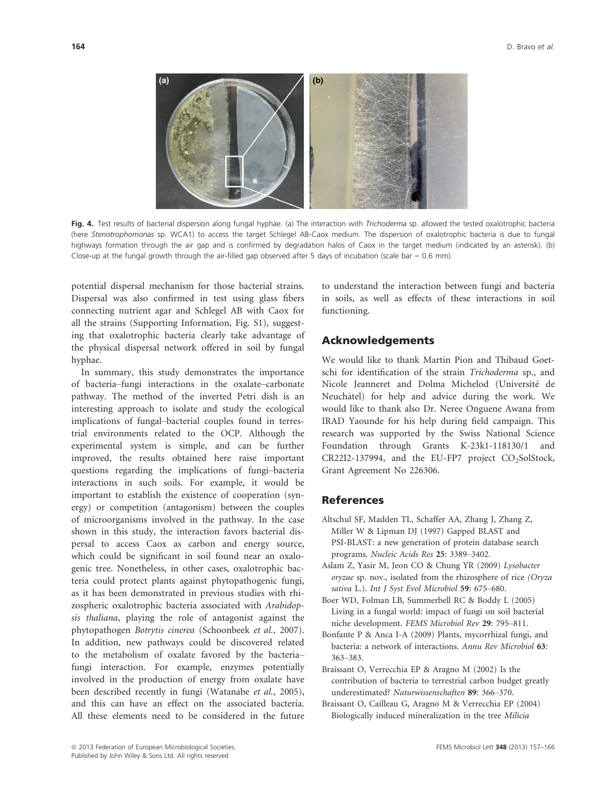

Fig. 4. Test results of bacterial dispersion along fungal hyphae. (a) The interaction with Trichoderma sp. allowed the tested oxalotrophic bacteria (here Stenotrophomonas sp. WCA1) to access the target Schlegel AB-Caox medium. The dispersion of oxalotrophic bacteria is due to fungal highways formation through the air gap and is confirmed by degradation halos of Caox in the target medium (indicated by an asterisk). (b) Close-up at the fungal growth through the air-filled gap observed after 5 days of incubation (scale bar =  $0.6$  mm).

potential dispersal mechanism for those bacterial strains. Dispersal was also confirmed in test using glass fibers connecting nutrient agar and Schlegel AB with Caox for all the strains (Supporting Information, Fig. S1), suggesting that oxalotrophic bacteria clearly take advantage of the physical dispersal network offered in soil by fungal hyphae.

In summary, this study demonstrates the importance of bacteria–fungi interactions in the oxalate–carbonate pathway. The method of the inverted Petri dish is an interesting approach to isolate and study the ecological implications of fungal–bacterial couples found in terrestrial environments related to the OCP. Although the experimental system is simple, and can be further improved, the results obtained here raise important questions regarding the implications of fungi–bacteria interactions in such soils. For example, it would be important to establish the existence of cooperation (synergy) or competition (antagonism) between the couples of microorganisms involved in the pathway. In the case shown in this study, the interaction favors bacterial dispersal to access Caox as carbon and energy source, which could be significant in soil found near an oxalogenic tree. Nonetheless, in other cases, oxalotrophic bacteria could protect plants against phytopathogenic fungi, as it has been demonstrated in previous studies with rhizospheric oxalotrophic bacteria associated with Arabidopsis thaliana, playing the role of antagonist against the phytopathogen Botrytis cinerea (Schoonbeek et al., 2007). In addition, new pathways could be discovered related to the metabolism of oxalate favored by the bacteria– fungi interaction. For example, enzymes potentially involved in the production of energy from oxalate have been described recently in fungi (Watanabe et al., 2005), and this can have an effect on the associated bacteria. All these elements need to be considered in the future

to understand the interaction between fungi and bacteria in soils, as well as effects of these interactions in soil functioning.

## Acknowledgements

We would like to thank Martin Pion and Thibaud Goetschi for identification of the strain Trichoderma sp., and Nicole Jeanneret and Dolma Michelod (Université de Neuch^atel) for help and advice during the work. We would like to thank also Dr. Neree Onguene Awana from IRAD Yaounde for his help during field campaign. This research was supported by the Swiss National Science Foundation through Grants K-23k1-118130/1 and  $CR22I2-137994$ , and the EU-FP7 project  $CO<sub>2</sub>SolStock$ , Grant Agreement No 226306.

# References

- Altschul SF, Madden TL, Schaffer AA, Zhang J, Zhang Z, Miller W & Lipman DJ (1997) Gapped BLAST and PSI-BLAST: a new generation of protein database search programs. Nucleic Acids Res 25: 3389–3402.
- Aslam Z, Yasir M, Jeon CO & Chung YR (2009) Lysobacter oryzae sp. nov., isolated from the rhizosphere of rice (Oryza sativa L.). Int J Syst Evol Microbiol 59: 675-680.
- Boer WD, Folman LB, Summerbell RC & Boddy L (2005) Living in a fungal world: impact of fungi on soil bacterial niche development. FEMS Microbiol Rev 29: 795–811.
- Bonfante P & Anca I-A (2009) Plants, mycorrhizal fungi, and bacteria: a network of interactions. Annu Rev Microbiol 63: 363–383.
- Braissant O, Verrecchia EP & Aragno M (2002) Is the contribution of bacteria to terrestrial carbon budget greatly underestimated? Naturwissenschaften 89: 366–370.
- Braissant O, Cailleau G, Aragno M & Verrecchia EP (2004) Biologically induced mineralization in the tree Milicia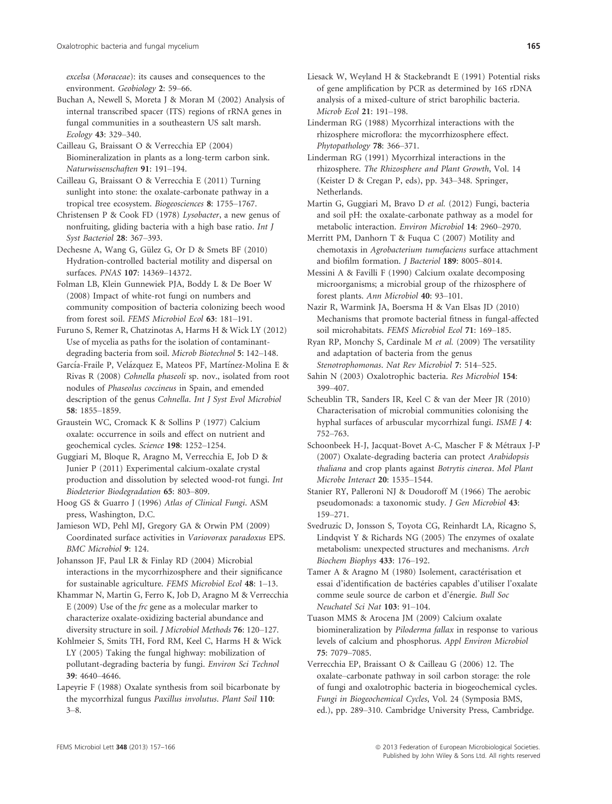excelsa (Moraceae): its causes and consequences to the environment. Geobiology 2: 59–66.

Buchan A, Newell S, Moreta J & Moran M (2002) Analysis of internal transcribed spacer (ITS) regions of rRNA genes in fungal communities in a southeastern US salt marsh. Ecology 43: 329–340.

Cailleau G, Braissant O & Verrecchia EP (2004) Biomineralization in plants as a long-term carbon sink. Naturwissenschaften 91: 191–194.

Cailleau G, Braissant O & Verrecchia E (2011) Turning sunlight into stone: the oxalate-carbonate pathway in a tropical tree ecosystem. Biogeosciences 8: 1755–1767.

Christensen P & Cook FD (1978) Lysobacter, a new genus of nonfruiting, gliding bacteria with a high base ratio. Int J Syst Bacteriol 28: 367–393.

Dechesne A, Wang G, Gülez G, Or D & Smets BF (2010) Hydration-controlled bacterial motility and dispersal on surfaces. PNAS 107: 14369–14372.

Folman LB, Klein Gunnewiek PJA, Boddy L & De Boer W (2008) Impact of white-rot fungi on numbers and community composition of bacteria colonizing beech wood from forest soil. FEMS Microbiol Ecol 63: 181–191.

Furuno S, Remer R, Chatzinotas A, Harms H & Wick LY (2012) Use of mycelia as paths for the isolation of contaminantdegrading bacteria from soil. Microb Biotechnol 5: 142–148.

García-Fraile P, Velázquez E, Mateos PF, Martínez-Molina E & Rivas R (2008) Cohnella phaseoli sp. nov., isolated from root nodules of Phaseolus coccineus in Spain, and emended description of the genus Cohnella. Int J Syst Evol Microbiol 58: 1855–1859.

Graustein WC, Cromack K & Sollins P (1977) Calcium oxalate: occurrence in soils and effect on nutrient and geochemical cycles. Science 198: 1252–1254.

Guggiari M, Bloque R, Aragno M, Verrecchia E, Job D & Junier P (2011) Experimental calcium-oxalate crystal production and dissolution by selected wood-rot fungi. Int Biodeterior Biodegradation <sup>65</sup>: 803–809.

Hoog GS & Guarro J (1996) Atlas of Clinical Fungi. ASM press, Washington, D.C.

Jamieson WD, Pehl MJ, Gregory GA & Orwin PM (2009) Coordinated surface activities in Variovorax paradoxus EPS. BMC Microbiol 9: 124.

Johansson JF, Paul LR & Finlay RD (2004) Microbial interactions in the mycorrhizosphere and their significance for sustainable agriculture. FEMS Microbiol Ecol 48: 1–13.

Khammar N, Martin G, Ferro K, Job D, Aragno M & Verrecchia E (2009) Use of the frc gene as a molecular marker to characterize oxalate-oxidizing bacterial abundance and diversity structure in soil. J Microbiol Methods 76: 120–127.

Kohlmeier S, Smits TH, Ford RM, Keel C, Harms H & Wick LY (2005) Taking the fungal highway: mobilization of pollutant-degrading bacteria by fungi. Environ Sci Technol 39: 4640–4646.

Lapeyrie F (1988) Oxalate synthesis from soil bicarbonate by the mycorrhizal fungus Paxillus involutus. Plant Soil 110: 3–8.

Liesack W, Weyland H & Stackebrandt E (1991) Potential risks of gene amplification by PCR as determined by 16S rDNA analysis of a mixed-culture of strict barophilic bacteria. Microb Ecol 21: 191–198.

Linderman RG (1988) Mycorrhizal interactions with the rhizosphere microflora: the mycorrhizosphere effect. Phytopathology 78: 366–371.

Linderman RG (1991) Mycorrhizal interactions in the rhizosphere. The Rhizosphere and Plant Growth, Vol. 14 (Keister D & Cregan P, eds), pp. 343–348. Springer, Netherlands.

Martin G, Guggiari M, Bravo D et al. (2012) Fungi, bacteria and soil pH: the oxalate-carbonate pathway as a model for metabolic interaction. Environ Microbiol 14: 2960–2970.

Merritt PM, Danhorn T & Fuqua C (2007) Motility and chemotaxis in Agrobacterium tumefaciens surface attachment and biofilm formation. J Bacteriol 189: 8005–8014.

Messini A & Favilli F (1990) Calcium oxalate decomposing microorganisms; a microbial group of the rhizosphere of forest plants. Ann Microbiol 40: 93–101.

Nazir R, Warmink JA, Boersma H & Van Elsas JD (2010) Mechanisms that promote bacterial fitness in fungal-affected soil microhabitats. FEMS Microbiol Ecol <sup>71</sup>: 169–185.

Ryan RP, Monchy S, Cardinale M et al. (2009) The versatility and adaptation of bacteria from the genus Stenotrophomonas. Nat Rev Microbiol 7: 514–525.

Sahin N (2003) Oxalotrophic bacteria. Res Microbiol 154: 399–407.

Scheublin TR, Sanders IR, Keel C & van der Meer JR (2010) Characterisation of microbial communities colonising the hyphal surfaces of arbuscular mycorrhizal fungi. ISME J 4: 752–763.

Schoonbeek H-J, Jacquat-Bovet A-C, Mascher F & Métraux J-P (2007) Oxalate-degrading bacteria can protect Arabidopsis thaliana and crop plants against Botrytis cinerea. Mol Plant Microbe Interact 20: 1535–1544.

Stanier RY, Palleroni NJ & Doudoroff M (1966) The aerobic pseudomonads: a taxonomic study. J Gen Microbiol 43: 159–271.

Svedruzic D, Jonsson S, Toyota CG, Reinhardt LA, Ricagno S, Lindqvist Y & Richards NG (2005) The enzymes of oxalate metabolism: unexpected structures and mechanisms. Arch Biochem Biophys 433: 176–192.

Tamer A & Aragno M (1980) Isolement, caractérisation et essai d'identification de bactéries capables d'utiliser l'oxalate comme seule source de carbon et d'énergie. Bull Soc Neuchatel Sci Nat 103: 91–104.

Tuason MMS & Arocena JM (2009) Calcium oxalate biomineralization by Piloderma fallax in response to various levels of calcium and phosphorus. Appl Environ Microbiol 75: 7079–7085.

Verrecchia EP, Braissant O & Cailleau G (2006) 12. The oxalate–carbonate pathway in soil carbon storage: the role of fungi and oxalotrophic bacteria in biogeochemical cycles. Fungi in Biogeochemical Cycles, Vol. 24 (Symposia BMS, ed.), pp. 289–310. Cambridge University Press, Cambridge.